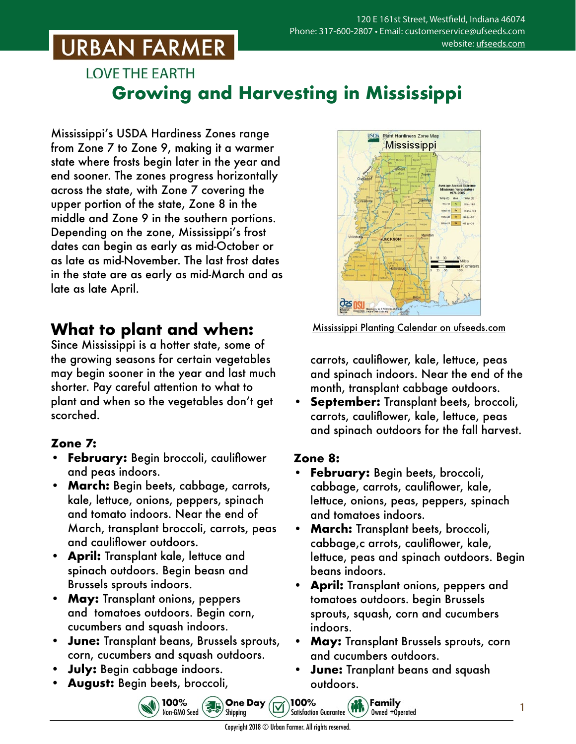## **URBAN FARMER**

### **LOVE THE EARTH Growing and Harvesting in Mississippi**

Mississippi's USDA Hardiness Zones range from Zone 7 to Zone 9, making it a warmer state where frosts begin later in the year and end sooner. The zones progress horizontally across the state, with Zone 7 covering the upper portion of the state, Zone 8 in the middle and Zone 9 in the southern portions. Depending on the zone, Mississippi's frost dates can begin as early as mid-October or as late as mid-November. The last frost dates in the state are as early as mid-March and as late as late April.

### **What to plant and when:**

Since Mississippi is a hotter state, some of the growing seasons for certain vegetables may begin sooner in the year and last much shorter. Pay careful attention to what to plant and when so the vegetables don't get scorched.

### **Zone 7:**

- **• February:** Begin broccoli, cauliflower and peas indoors.
- **• March:** Begin beets, cabbage, carrots, kale, lettuce, onions, peppers, spinach and tomato indoors. Near the end of March, transplant broccoli, carrots, peas and cauliflower outdoors.
- **• April:** Transplant kale, lettuce and spinach outdoors. Begin beasn and Brussels sprouts indoors.
- **• May:** Transplant onions, peppers and tomatoes outdoors. Begin corn, cucumbers and squash indoors.
- **• June:** Transplant beans, Brussels sprouts, corn, cucumbers and squash outdoors.
- **• July:** Begin cabbage indoors.
- **• August:** Begin beets, broccoli,



Mississippi Planting Calendar o[n ufseeds.com](https://www.ufseeds.com/learning/planting-schedules/mississippi-vegetable-planting-calendar/)

carrots, cauliflower, kale, lettuce, peas and spinach indoors. Near the end of the month, transplant cabbage outdoors.

**• September:** Transplant beets, broccoli, carrots, cauliflower, kale, lettuce, peas and spinach outdoors for the fall harvest.

#### **Zone 8:**

- **• February:** Begin beets, broccoli, cabbage, carrots, cauliflower, kale, lettuce, onions, peas, peppers, spinach and tomatoes indoors.
- **• March:** Transplant beets, broccoli, cabbage,c arrots, cauliflower, kale, lettuce, peas and spinach outdoors. Begin beans indoors.
- **• April:** Transplant onions, peppers and tomatoes outdoors. begin Brussels sprouts, squash, corn and cucumbers indoors.
- **• May:** Transplant Brussels sprouts, corn and cucumbers outdoors.
- **• June:** Tranplant beans and squash outdoors.

Family

100%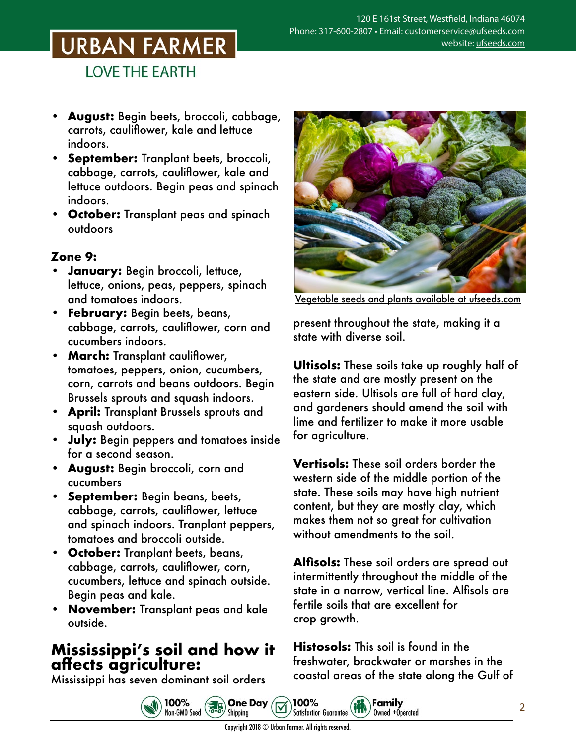# URBAN FARMER

**LOVE THE EARTH** 

- **• August:** Begin beets, broccoli, cabbage, carrots, cauliflower, kale and lettuce indoors.
- **• September:** Tranplant beets, broccoli, cabbage, carrots, cauliflower, kale and lettuce outdoors. Begin peas and spinach indoors.
- **• October:** Transplant peas and spinach outdoors

#### **Zone 9:**

- **• January:** Begin broccoli, lettuce, lettuce, onions, peas, peppers, spinach and tomatoes indoors.
- **• February:** Begin beets, beans, cabbage, carrots, cauliflower, corn and cucumbers indoors.
- **• March:** Transplant cauliflower, tomatoes, peppers, onion, cucumbers, corn, carrots and beans outdoors. Begin Brussels sprouts and squash indoors.
- **• April:** Transplant Brussels sprouts and squash outdoors.
- **• July:** Begin peppers and tomatoes inside for a second season.
- **• August:** Begin broccoli, corn and cucumbers
- **• September:** Begin beans, beets, cabbage, carrots, cauliflower, lettuce and spinach indoors. Tranplant peppers, tomatoes and broccoli outside.
- **• October:** Tranplant beets, beans, cabbage, carrots, cauliflower, corn, cucumbers, lettuce and spinach outside. Begin peas and kale.
- **• November:** Transplant peas and kale outside.

### **Mississippi's soil and how it affects agriculture:**

Mississippi has seven dominant soil orders



Vegetable seeds and plants [available at ufseeds.com](https://www.ufseeds.com/vegetable-seeds-and-plants/)

present throughout the state, making it a state with diverse soil.

**Ultisols:** These soils take up roughly half of the state and are mostly present on the eastern side. Ultisols are full of hard clay, and gardeners should amend the soil with lime and fertilizer to make it more usable for agriculture.

**Vertisols:** These soil orders border the western side of the middle portion of the state. These soils may have high nutrient content, but they are mostly clay, which makes them not so great for cultivation without amendments to the soil.

**Alfisols:** These soil orders are spread out intermittently throughout the middle of the state in a narrow, vertical line. Alfisols are fertile soils that are excellent for crop growth.

**Histosols:** This soil is found in the freshwater, brackwater or marshes in the coastal areas of the state along the Gulf of

Family

Owned +Operated



100%

Satisfaction Guarantee (